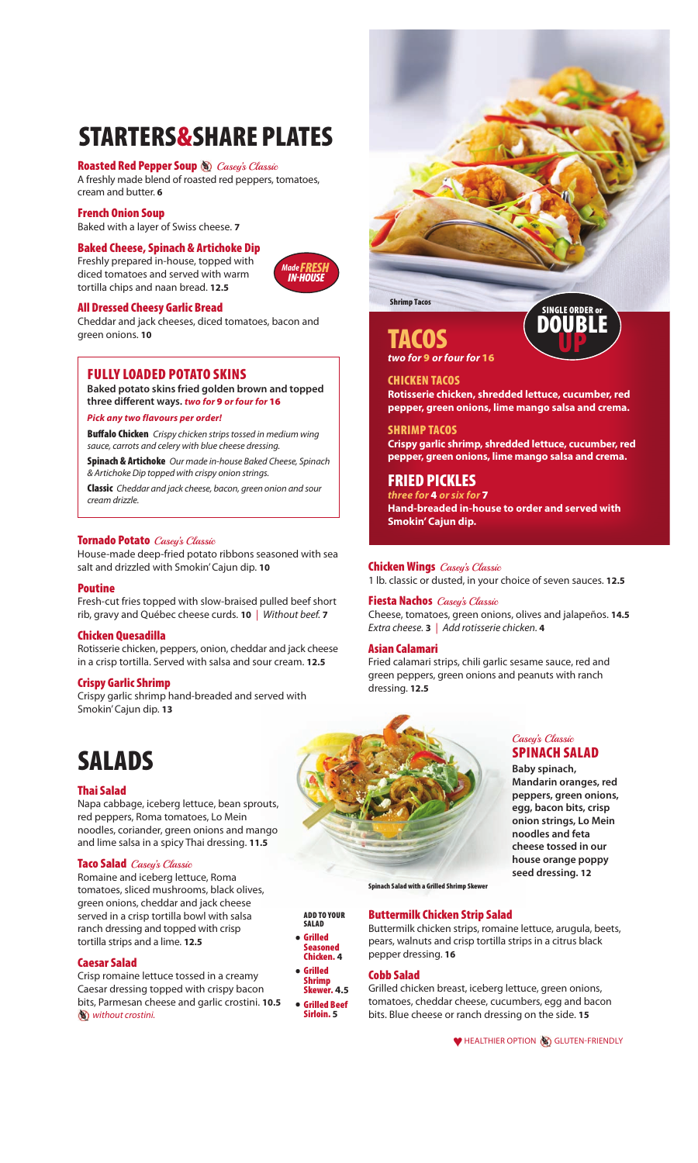# **STArTerS& ShAre PlATeS**

#### **Roasted Red Pepper Soup & Casey's Classic**

A freshly made blend of roasted red peppers, tomatoes, cream and butter. **6**

#### **French Onion Soup**

Baked with a layer of Swiss cheese. **7**

#### **Baked Cheese, Spinach & Artichoke Dip**

Freshly prepared in-house, topped with diced tomatoes and served with warm tortilla chips and naan bread. **12.5**

### *Madefresh in-house*

#### **All dressed Cheesy Garlic Bread**

Cheddar and jack cheeses, diced tomatoes, bacon and green onions. **10**

#### **Fully loAded PoTATo SKINS**

**Baked potato skins fried golden brown and topped three different ways.** *two for* **9** *or four for* **16**

#### *Pick any two flavours per order!*

**Buffalo Chicken** Crispy chicken strips tossed in medium wing sauce, carrots and celery with blue cheese dressing.

**Spinach & Artichoke** Our made in-house Baked Cheese, Spinach & Artichoke Dip topped with crispy onion strings.

**Classic** Cheddar and jack cheese, bacon, green onion and sour cream drizzle.

#### **Tornado Potato** Casey's Classic

House-made deep-fried potato ribbons seasoned with sea salt and drizzled with Smokin' Cajun dip. **10**

#### **Poutine**

Fresh-cut fries topped with slow-braised pulled beef short rib, gravy and Québec cheese curds. **10** | Without beef. **7**

#### **Chicken Quesadilla**

Rotisserie chicken, peppers, onion, cheddar and jack cheese in a crisp tortilla. Served with salsa and sour cream. **12.5**

#### **Crispy Garlic Shrimp**

Crispy garlic shrimp hand-breaded and served with Smokin' Cajun dip. **13**

### **SAlAdS**

#### **Thai Salad**

Napa cabbage, iceberg lettuce, bean sprouts, red peppers, Roma tomatoes, Lo Mein noodles, coriander, green onions and mango and lime salsa in a spicy Thai dressing. **11.5**

#### **Taco Salad** Casey's Classic

Romaine and iceberg lettuce, Roma tomatoes, sliced mushrooms, black olives, green onions, cheddar and jack cheese served in a crisp tortilla bowl with salsa ranch dressing and topped with crisp tortilla strips and a lime. **12.5**

#### **Caesar Salad**

Crisp romaine lettuce tossed in a creamy Caesar dressing topped with crispy bacon bits, Parmesan cheese and garlic crostini. **10.5 W** without crostini.

# **SINGle order or Shrimp Tacos**

### **TACoS**

*two for* **9** *or four for* **16**

#### **ChICKeN TACoS Rotisserie chicken, shredded lettuce, cucumber, red pepper, green onions, lime mango salsa and crema.**

**d uP** 

**ShrIMP TACoS Crispy garlic shrimp, shredded lettuce, cucumber, red pepper, green onions, lime mango salsa and crema.**

#### **FrIed PICKleS**

*three for* **4** *or six for* **7 Hand-breaded in-house to order and served with Smokin' Cajun dip.**

#### **Chicken Wings** Casey's Classic

1 lb. classic or dusted, in your choice of seven sauces. **12.5**

**Fiesta Nachos** Casey's Classic Cheese, tomatoes, green onions, olives and jalapeños. **14.5** Extra cheese. **3** | Add rotisserie chicken. **4**

#### **Asian Calamari**

Fried calamari strips, chili garlic sesame sauce, red and green peppers, green onions and peanuts with ranch dressing. **12.5**



#### Casey's Classic **SPINACH SALAD**

**Baby spinach, Mandarin oranges, red**

**peppers, green onions, egg, bacon bits, crisp onion strings, Lo Mein noodles and feta cheese tossed in our house orange poppy seed dressing. 12**

**Spinach Salad with a Grilled Shrimp Skewer**

#### **Buttermilk Chicken Strip Salad**

Buttermilk chicken strips, romaine lettuce, arugula, beets, pears, walnuts and crisp tortilla strips in a citrus black pepper dressing. **16** 

#### **Cobb Salad**

**Add To your SAlAd • Grilled Seasoned Chicken. 4 • Grilled Shrimp Skewer. 4.5 • Grilled Beef Sirloin. 5**

Grilled chicken breast, iceberg lettuce, green onions, tomatoes, cheddar cheese, cucumbers, egg and bacon bits. Blue cheese or ranch dressing on the side. **15** 

● HEALTHIER OPTION **GLUTEN-FRIENDLY**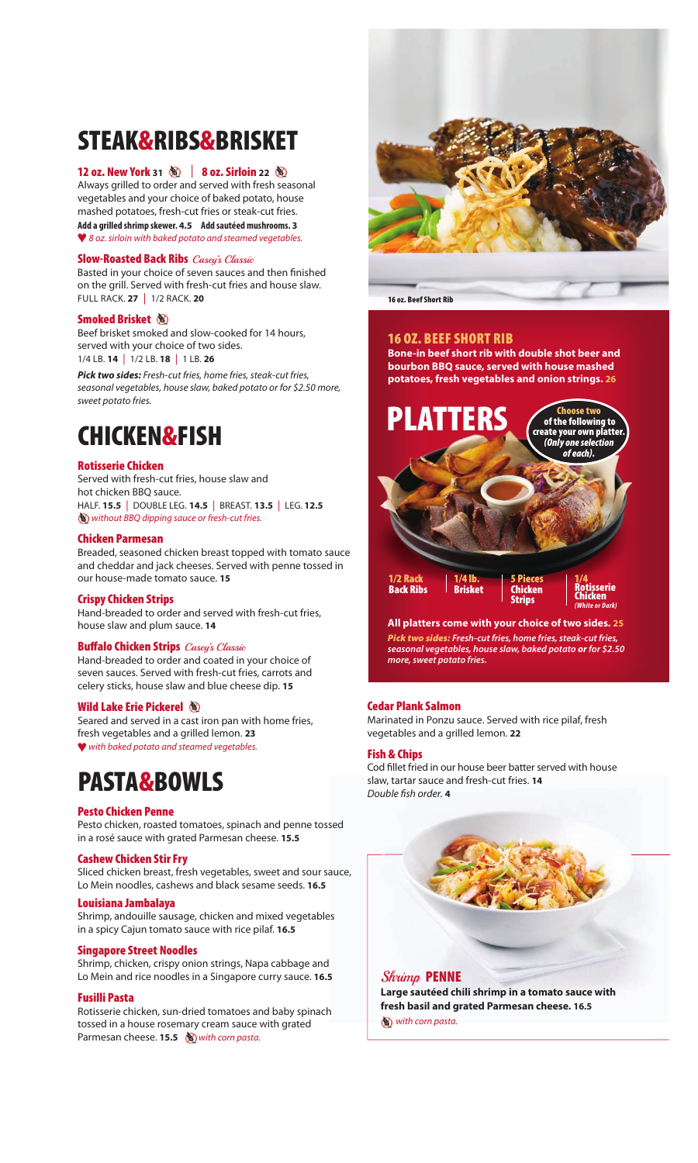### **STeAK&rIBS&BrISKeT**

#### **12 oz. New york <sup>31</sup>** | **8 oz. Sirloin <sup>22</sup>**

Always grilled to order and served with fresh seasonal vegetables and your choice of baked potato, house mashed potatoes, fresh-cut fries or steak-cut fries. **Add a grilled shrimp skewer. 4.5 Add sautéed mushrooms. 3** ™ 8 oz. sirloin with baked potato and steamed vegetables.

#### **Slow-Roasted Back Ribs** Casey's Classic

Basted in your choice of seven sauces and then finished on the grill. Served with fresh-cut fries and house slaw. FuLL RACk. **27** | 1/2 RACk. **20**

#### **Smoked Brisket**

Beef brisket smoked and slow-cooked for 14 hours, served with your choice of two sides. 1/4 LB. **14** | 1/2 LB. **18** | 1 LB. **26**

*Pick two sides:* Fresh-cut fries, home fries, steak-cut fries, seasonal vegetables, house slaw, baked potato or for \$2.50 more, sweet potato fries.

### **ChICKeN&FISh**

#### **rotisserie Chicken**

Served with fresh-cut fries, house slaw and hot chicken BBQ sauce. HALF. **15.5** | dOuBLe LeG. **14.5** | BReAST. **13.5** | LeG. **12.5** W without BBQ dipping sauce or fresh-cut fries.

#### **Chicken Parmesan**

Breaded, seasoned chicken breast topped with tomato sauce and cheddar and jack cheeses. Served with penne tossed in our house-made tomato sauce. **15**

#### **Crispy Chicken Strips**

Hand-breaded to order and served with fresh-cut fries, house slaw and plum sauce. **14**

#### **Buffalo Chicken Strips** Casey's Classic

Hand-breaded to order and coated in your choice of seven sauces. Served with fresh-cut fries, carrots and celery sticks, house slaw and blue cheese dip. **15**

#### **Wild lake erie Pickerel**

Seared and served in a cast iron pan with home fries, fresh vegetables and a grilled lemon. **23** ™ with baked potato and steamed vegetables.

### **PASTA&BoWlS**

#### **Pesto Chicken Penne**

Pesto chicken, roasted tomatoes, spinach and penne tossed in a rosé sauce with grated Parmesan cheese. **15.5**

#### **Cashew Chicken Stir Fry**

Sliced chicken breast, fresh vegetables, sweet and sour sauce, Lo Mein noodles, cashews and black sesame seeds. **16.5**

#### **louisiana Jambalaya**

Shrimp, andouille sausage, chicken and mixed vegetables in a spicy Cajun tomato sauce with rice pilaf. **16.5**

#### **Singapore Street Noodles**

Shrimp, chicken, crispy onion strings, Napa cabbage and Lo Mein and rice noodles in a Singapore curry sauce. **16.5**

#### **Fusilli Pasta**

Rotisserie chicken, sun-dried tomatoes and baby spinach tossed in a house rosemary cream sauce with grated Parmesan cheese. **15.5** W with corn pasta.



**16 oz. Beef Short Rib** 

#### **16 oz. BeeF ShorT rIB**

**Bone-in beef short rib with double shot beer and bourbon BBQ sauce, served with house mashed potatoes, fresh vegetables and onion strings. 26**



**All platters come with your choice of two sides. 25** *Pick two sides: Fresh-cut fries, home fries, steak-cut fries, seasonal vegetables, house slaw, baked potato or for \$2.50 more, sweet potato fries.*

#### **Cedar Plank Salmon**

Marinated in Ponzu sauce. Served with rice pilaf, fresh vegetables and a grilled lemon. **22**

#### **Fish & Chips**

Cod fillet fried in our house beer batter served with house slaw, tartar sauce and fresh-cut fries. **14**  Double fish order. **4**



**Large sautéed chili shrimp in a tomato sauce with fresh basil and grated Parmesan cheese. 16.5** with corn pasta.